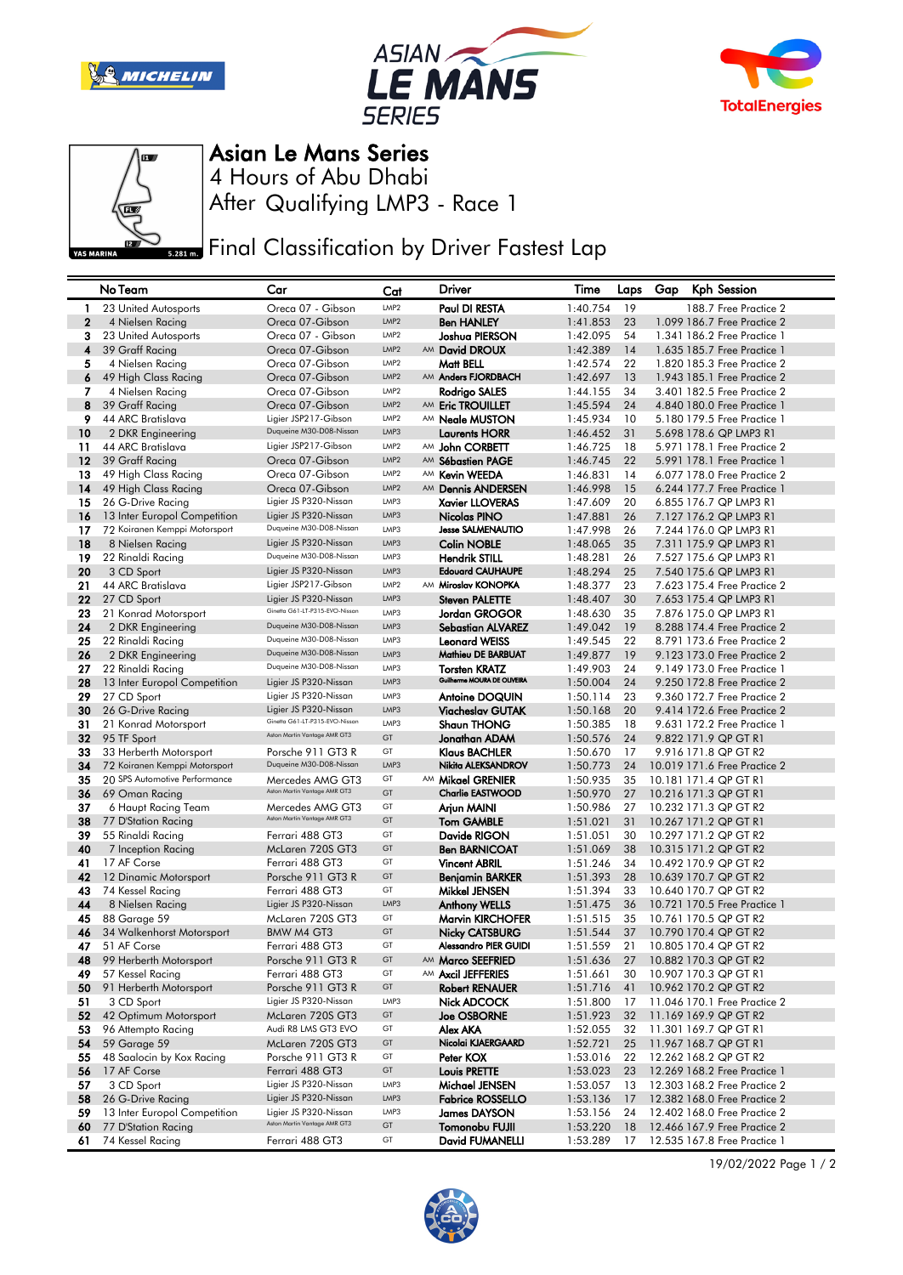







Asian Le Mans Series

After Qualifying LMP3 - Race 1 4 Hours of Abu Dhabi

**Final Classification by Driver Fastest Lap** 

|                  | No Team                       | Car                            | Cat              | Driver                       | Time     | Laps | Gap | Kph Session                  |
|------------------|-------------------------------|--------------------------------|------------------|------------------------------|----------|------|-----|------------------------------|
| -1               | 23 United Autosports          | Oreca 07 - Gibson              | LMP2             | Paul DI RESTA                | 1:40.754 | 19   |     | 188.7 Free Practice 2        |
| $\boldsymbol{2}$ | 4 Nielsen Racing              | Oreca 07-Gibson                | LMP <sub>2</sub> | <b>Ben HANLEY</b>            | 1:41.853 | 23   |     | 1.099 186.7 Free Practice 2  |
| 3                | 23 United Autosports          | Oreca 07 - Gibson              | LMP2             | Joshua PIERSON               | 1:42.095 | 54   |     | 1.341 186.2 Free Practice 1  |
| 4                | 39 Graff Racing               | Oreca 07-Gibson                | LMP <sub>2</sub> | AM David DROUX               | 1:42.389 | 14   |     | 1.635 185.7 Free Practice 1  |
| 5                | 4 Nielsen Racing              | Oreca 07-Gibson                | LMP <sub>2</sub> | Matt BELL                    | 1:42.574 | 22   |     | 1,820 185,3 Free Practice 2  |
| 6                | 49 High Class Racing          | Oreca 07-Gibson                | LMP <sub>2</sub> | AM Anders FJORDBACH          | 1:42.697 | 13   |     | 1.943 185.1 Free Practice 2  |
| 7                | 4 Nielsen Racing              | Oreca 07-Gibson                | LMP <sub>2</sub> | Rodrigo SALES                | 1:44.155 | 34   |     | 3.401 182.5 Free Practice 2  |
| 8                | 39 Graff Racing               | Oreca 07-Gibson                | LMP <sub>2</sub> | AM Eric TROUILLET            | 1:45.594 | 24   |     | 4.840 180.0 Free Practice 1  |
| 9                | 44 ARC Bratislava             | Ligier JSP217-Gibson           | LMP <sub>2</sub> | AM <b>Neale MUSTON</b>       | 1:45.934 | 10   |     | 5.180 179.5 Free Practice 1  |
| 10               | 2 DKR Engineering             | Duqueine M30-D08-Nissan        | LMP3             | Laurents HORR                | 1:46.452 | 31   |     | 5.698 178.6 QP LMP3 R1       |
| 11               | 44 ARC Bratislava             | Ligier JSP217-Gibson           | LMP <sub>2</sub> | AM John CORBETT              | 1:46.725 | 18   |     | 5.971 178.1 Free Practice 2  |
| 12               | 39 Graff Racing               | Oreca 07-Gibson                | LMP <sub>2</sub> | AM Sébastien PAGE            | 1:46.745 | 22   |     | 5.991 178.1 Free Practice 1  |
| 13               | 49 High Class Racing          | Oreca 07-Gibson                | LMP <sub>2</sub> | AM Kevin WEEDA               | 1:46.831 | 14   |     | 6.077 178.0 Free Practice 2  |
| 14               | 49 High Class Racing          | Oreca 07-Gibson                | LMP <sub>2</sub> | AM Dennis ANDERSEN           | 1:46.998 | 15   |     | 6.244 177.7 Free Practice 1  |
| 15               | 26 G-Drive Racing             | Ligier JS P320-Nissan          | LMP3             | <b>Xavier LLOVERAS</b>       | 1:47.609 | 20   |     | 6.855 176.7 QP LMP3 R1       |
| 16               | 13 Inter Europol Competition  | Ligier JS P320-Nissan          | LMP3             | Nicolas PINO                 | 1:47.881 | 26   |     | 7.127 176.2 QP LMP3 R1       |
| 17               | 72 Koiranen Kemppi Motorsport | Duqueine M30-D08-Nissan        | LMP3             | <b>Jesse SALMENAUTIO</b>     | 1:47.998 | 26   |     | 7.244 176.0 QP LMP3 R1       |
| 18               | 8 Nielsen Racing              | Ligier JS P320-Nissan          | LMP3             | <b>Colin NOBLE</b>           | 1:48.065 | 35   |     | 7.311 175.9 QP LMP3 R1       |
| 19               | 22 Rinaldi Racing             | Duqueine M30-D08-Nissan        | LMP3             | <b>Hendrik STILL</b>         | 1:48.281 | 26   |     | 7.527 175.6 QP LMP3 R1       |
| 20               | 3 CD Sport                    | Ligier JS P320-Nissan          | LMP3             | <b>Edouard CAUHAUPE</b>      | 1:48.294 | 25   |     | 7.540 175.6 QP LMP3 R1       |
| 21               | 44 ARC Bratislava             | Ligier JSP217-Gibson           | LMP2             | AM Miroslav KONOPKA          | 1:48.377 | 23   |     | 7.623 175.4 Free Practice 2  |
| 22               | 27 CD Sport                   | Ligier JS P320-Nissan          | LMP3             | <b>Steven PALETTE</b>        | 1:48.407 | 30   |     | 7.653 175.4 QP LMP3 R1       |
| 23               | 21 Konrad Motorsport          | Ginetta G61-LT-P315-EVO-Nissan | LMP3             | Jordan GROGOR                | 1:48.630 | 35   |     | 7.876 175.0 QP LMP3 R1       |
| 24               | 2 DKR Engineering             | Duqueine M30-D08-Nissan        | LMP3             | <b>Sebastian ALVAREZ</b>     | 1:49.042 | 19   |     | 8.288 174.4 Free Practice 2  |
| 25               | 22 Rinaldi Racing             | Duqueine M30-D08-Nissan        | LMP3             | <b>Leonard WEISS</b>         | 1:49.545 | 22   |     | 8.791 173.6 Free Practice 2  |
| 26               | 2 DKR Engineering             | Duqueine M30-D08-Nissan        | LMP3             | Mathieu DE BARBUAT           | 1:49.877 | 19   |     | 9.123 173.0 Free Practice 2  |
| 27               | 22 Rinaldi Racing             | Duqueine M30-D08-Nissan        | LMP3             | <b>Torsten KRATZ</b>         | 1:49.903 | 24   |     | 9.149 173.0 Free Practice 1  |
| 28               | 13 Inter Europol Competition  | Ligier JS P320-Nissan          | LMP3             | Guilherme MOURA DE OLIVEIRA  | 1:50.004 | 24   |     | 9.250 172.8 Free Practice 2  |
| 29               | 27 CD Sport                   | Ligier JS P320-Nissan          | LMP3             | <b>Antoine DOQUIN</b>        | 1:50.114 | 23   |     | 9.360 172.7 Free Practice 2  |
| 30               | 26 G-Drive Racing             | Ligier JS P320-Nissan          | LMP3             | Viacheslav GUTAK             | 1:50.168 | 20   |     | 9.414 172.6 Free Practice 2  |
| 31               | 21 Konrad Motorsport          | Ginetta G61-LT-P315-EVO-Nissan | LMP3             | <b>Shaun THONG</b>           | 1:50.385 | 18   |     | 9.631 172.2 Free Practice 1  |
| 32               | 95 TF Sport                   | Aston Martin Vantage AMR GT3   | GT               | Jonathan ADAM                | 1:50.576 | 24   |     | 9.822 171.9 QP GT R1         |
| 33               | 33 Herberth Motorsport        | Porsche 911 GT3 R              | GT               | <b>Klaus BACHLER</b>         | 1:50.670 | 17   |     | 9.916 171.8 QP GT R2         |
| 34               | 72 Koiranen Kemppi Motorsport | Duqueine M30-D08-Nissan        | LMP3             | Nikita ALEKSANDROV           | 1:50.773 | 24   |     | 10.019 171.6 Free Practice 2 |
| 35               | 20 SPS Automotive Performance | Mercedes AMG GT3               | GT               | AM Mikael GRENIER            | 1:50.935 | 35   |     | 10.181 171.4 QP GT R1        |
| 36               | 69 Oman Racing                | Aston Martin Vantage AMR GT3   | GT               | <b>Charlie EASTWOOD</b>      | 1:50.970 | 27   |     | 10.216 171.3 QP GT R1        |
| 37               | 6 Haupt Racing Team           | Mercedes AMG GT3               | GT               | Arjun MAINI                  | 1:50.986 | 27   |     | 10.232 171.3 QP GT R2        |
| 38               | 77 D'Station Racing           | Aston Martin Vantage AMR GT3   | GT               | <b>Tom GAMBLE</b>            | 1:51.021 | 31   |     | 10.267 171.2 QP GT R1        |
| 39               | 55 Rinaldi Racing             | Ferrari 488 GT3                | GT               | Davide RIGON                 | 1:51.051 | 30   |     | 10.297 171.2 QP GT R2        |
| 40               | 7 Inception Racing            | McLaren 720S GT3               | GT               | <b>Ben BARNICOAT</b>         | 1:51.069 | 38   |     | 10.315 171.2 QP GT R2        |
| 41               | 17 AF Corse                   | Ferrari 488 GT3                | GT               | <b>Vincent ABRIL</b>         | 1:51.246 | 34   |     | 10.492 170.9 QP GT R2        |
| 42               | 12 Dinamic Motorsport         | Porsche 911 GT3 R              | GT               | <b>Benjamin BARKER</b>       | 1:51.393 | 28   |     | 10.639 170.7 QP GT R2        |
| 43               | 74 Kessel Racing              | Ferrari 488 GT3                | GT               | Mikkel JENSEN                | 1:51.394 | 33   |     | 10.640 170.7 QP GT R2        |
| 44               | 8 Nielsen Racing              | Ligier JS P320-Nissan          | LMP3             | <b>Anthony WELLS</b>         | 1:51.475 | 36   |     | 10.721 170.5 Free Practice 1 |
| 45               | 88 Garage 59                  | McLaren 720S GT3               | GT               | <b>Marvin KIRCHOFER</b>      | 1:51.515 | 35   |     | 10.761 170.5 QP GT R2        |
| 46               | 34 Walkenhorst Motorsport     | BMW M4 GT3                     | GT               | Nicky CATSBURG               | 1:51.544 | 37   |     | 10.790 170.4 QP GT R2        |
| 47               | 51 AF Corse                   | Ferrari 488 GT3                | GT               | <b>Alessandro PIER GUIDI</b> | 1:51.559 | 21   |     | 10.805 170.4 QP GT R2        |
| 48               | 99 Herberth Motorsport        | Porsche 911 GT3 R              | GT               | AM Marco SEEFRIED            | 1:51.636 | 27   |     | 10.882 170.3 QP GT R2        |
| 49               | 57 Kessel Racing              | Ferrari 488 GT3                | GT               | AM Axcil JEFFERIES           | 1:51.661 | 30   |     | 10.907 170.3 QP GT R1        |
| 50               | 91 Herberth Motorsport        | Porsche 911 GT3 R              | GT               | <b>Robert RENAUER</b>        | 1:51.716 | 41   |     | 10.962 170.2 QP GT R2        |
| 51               | 3 CD Sport                    | Ligier JS P320-Nissan          | LMP3             | Nick ADCOCK                  | 1:51.800 | 17   |     | 11.046 170.1 Free Practice 2 |
| 52               | 42 Optimum Motorsport         | McLaren 720S GT3               | GT               | <b>Joe OSBORNE</b>           | 1:51.923 | 32   |     | 11.169 169.9 QP GT R2        |
| 53               | 96 Attempto Racing            | Audi R8 LMS GT3 EVO            | GT               | Alex AKA                     | 1:52.055 | 32   |     | 11.301 169.7 QP GT R1        |
| 54               | 59 Garage 59                  | McLaren 720S GT3               | GT               | Nicolai KJAERGAARD           | 1:52.721 | 25   |     | 11.967 168.7 QP GT R1        |
| 55               | 48 Saalocin by Kox Racing     | Porsche 911 GT3 R              | GT               | Peter KOX                    | 1:53.016 | 22   |     | 12.262 168.2 QP GT R2        |
| 56               | 17 AF Corse                   | Ferrari 488 GT3                | GT               | <b>Louis PRETTE</b>          | 1:53.023 | 23   |     | 12.269 168.2 Free Practice 1 |
| 57               | 3 CD Sport                    | Ligier JS P320-Nissan          | LMP3             | Michael JENSEN               | 1:53.057 | 13   |     | 12.303 168.2 Free Practice 2 |
| 58               | 26 G-Drive Racing             | Ligier JS P320-Nissan          | LMP3             | <b>Fabrice ROSSELLO</b>      | 1:53.136 | 17   |     | 12.382 168.0 Free Practice 2 |
| 59               | 13 Inter Europol Competition  | Ligier JS P320-Nissan          | LMP3             | <b>James DAYSON</b>          | 1:53.156 | 24   |     | 12.402 168.0 Free Practice 2 |
| 60               | 77 D'Station Racing           | Aston Martin Vantage AMR GT3   | GT               | Tomonobu FUJII               | 1:53.220 | 18   |     | 12.466 167.9 Free Practice 2 |
| 61               | 74 Kessel Racing              | Ferrari 488 GT3                | GT               | David FUMANELLI              | 1:53.289 | 17   |     | 12.535 167.8 Free Practice 1 |

19/02/2022 Page 1 / 2